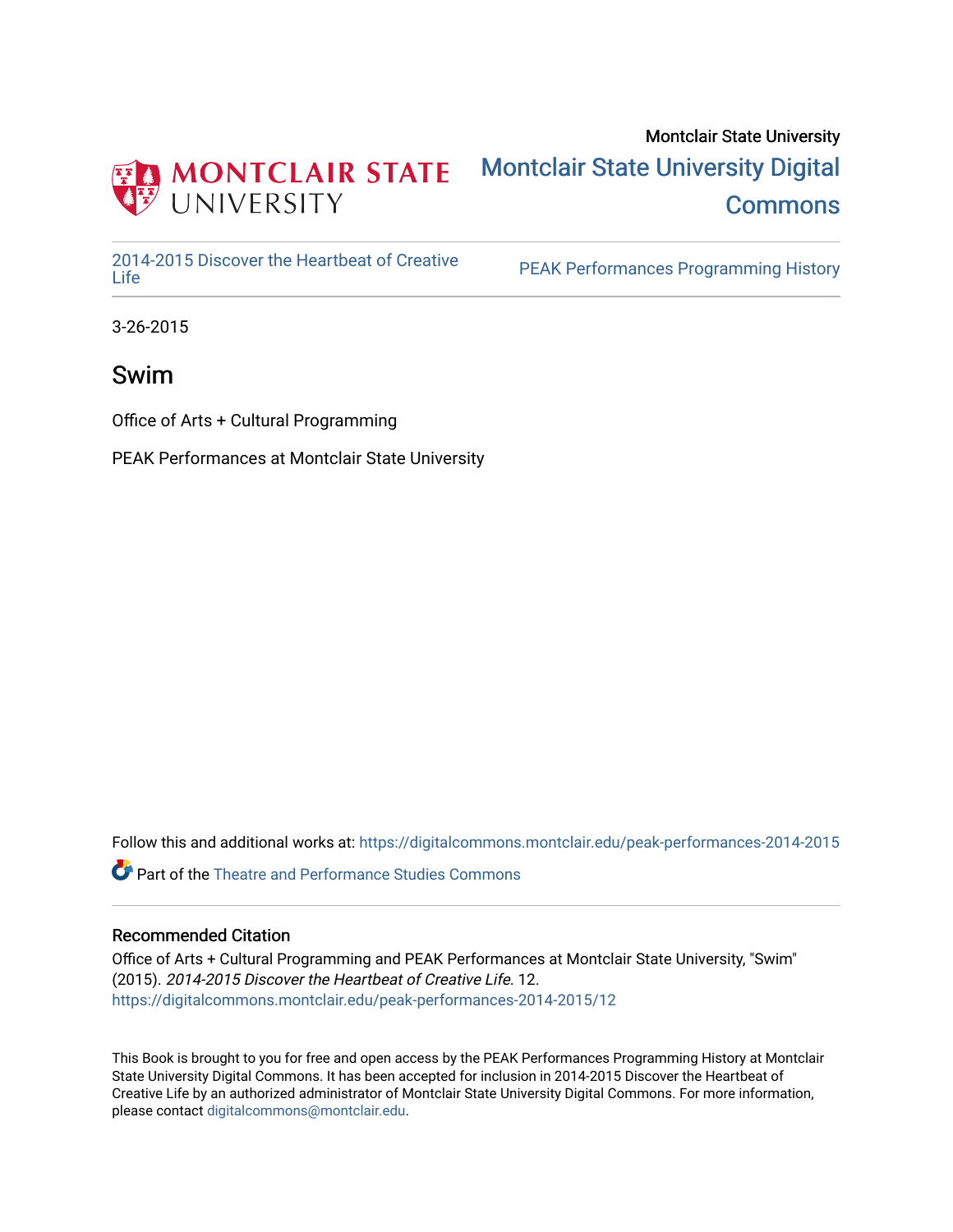

#### Montclair State University [Montclair State University Digital](https://digitalcommons.montclair.edu/)  **Commons**

[2014-2015 Discover the Heartbeat of Creative](https://digitalcommons.montclair.edu/peak-performances-2014-2015) 

PEAK Performances Programming History

3-26-2015

Swim

Office of Arts + Cultural Programming

PEAK Performances at Montclair State University

Follow this and additional works at: [https://digitalcommons.montclair.edu/peak-performances-2014-2015](https://digitalcommons.montclair.edu/peak-performances-2014-2015?utm_source=digitalcommons.montclair.edu%2Fpeak-performances-2014-2015%2F12&utm_medium=PDF&utm_campaign=PDFCoverPages) 

Part of the [Theatre and Performance Studies Commons](http://network.bepress.com/hgg/discipline/552?utm_source=digitalcommons.montclair.edu%2Fpeak-performances-2014-2015%2F12&utm_medium=PDF&utm_campaign=PDFCoverPages) 

#### Recommended Citation

Office of Arts + Cultural Programming and PEAK Performances at Montclair State University, "Swim" (2015). 2014-2015 Discover the Heartbeat of Creative Life. 12. [https://digitalcommons.montclair.edu/peak-performances-2014-2015/12](https://digitalcommons.montclair.edu/peak-performances-2014-2015/12?utm_source=digitalcommons.montclair.edu%2Fpeak-performances-2014-2015%2F12&utm_medium=PDF&utm_campaign=PDFCoverPages)

This Book is brought to you for free and open access by the PEAK Performances Programming History at Montclair State University Digital Commons. It has been accepted for inclusion in 2014-2015 Discover the Heartbeat of Creative Life by an authorized administrator of Montclair State University Digital Commons. For more information, please contact [digitalcommons@montclair.edu.](mailto:digitalcommons@montclair.edu)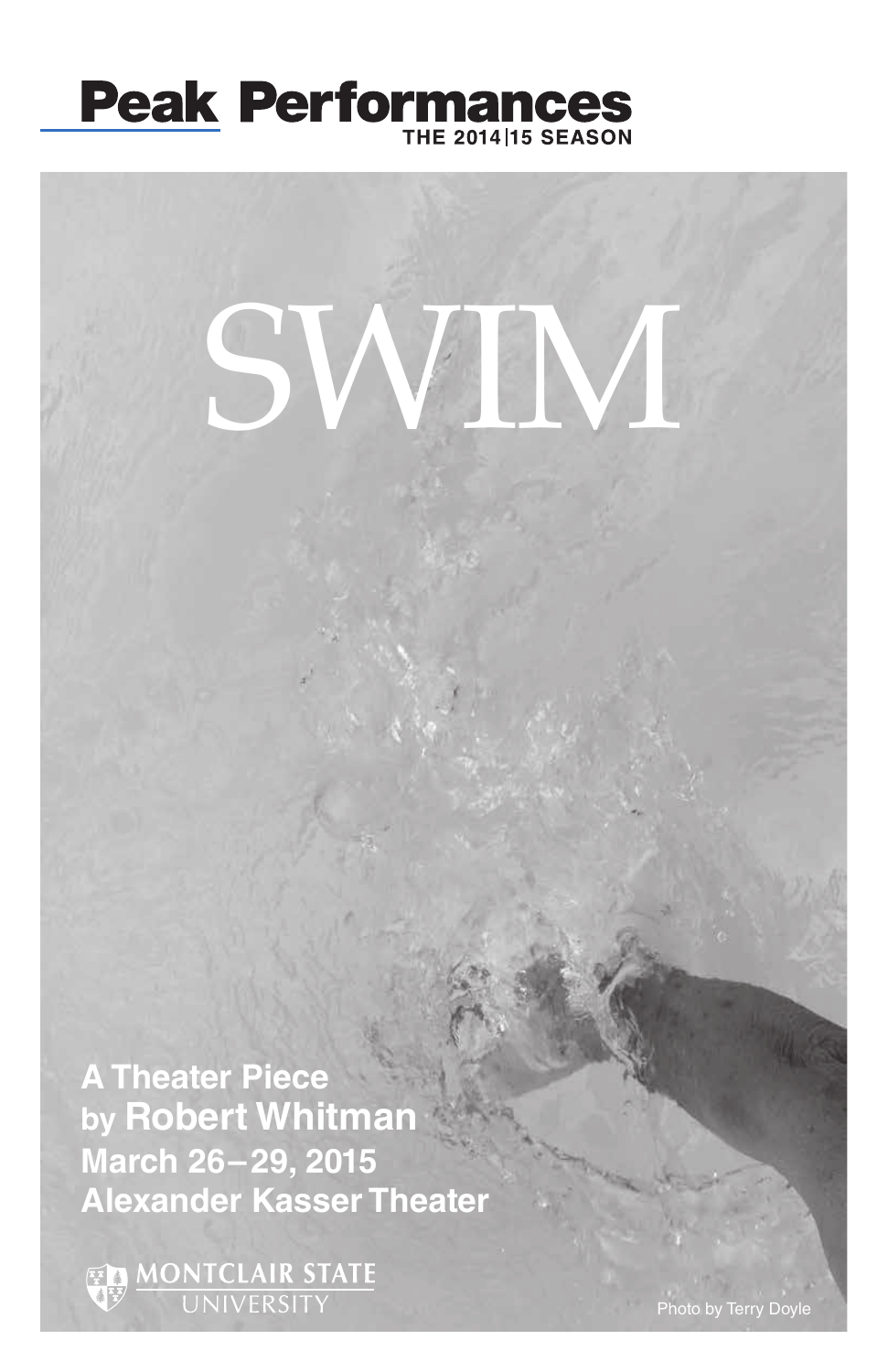

# SWIM

**A Theater Piece by Robert Whitman March 26–29, 2015 Alexander Kasser Theater**

**ED MONTCLAIR STATE**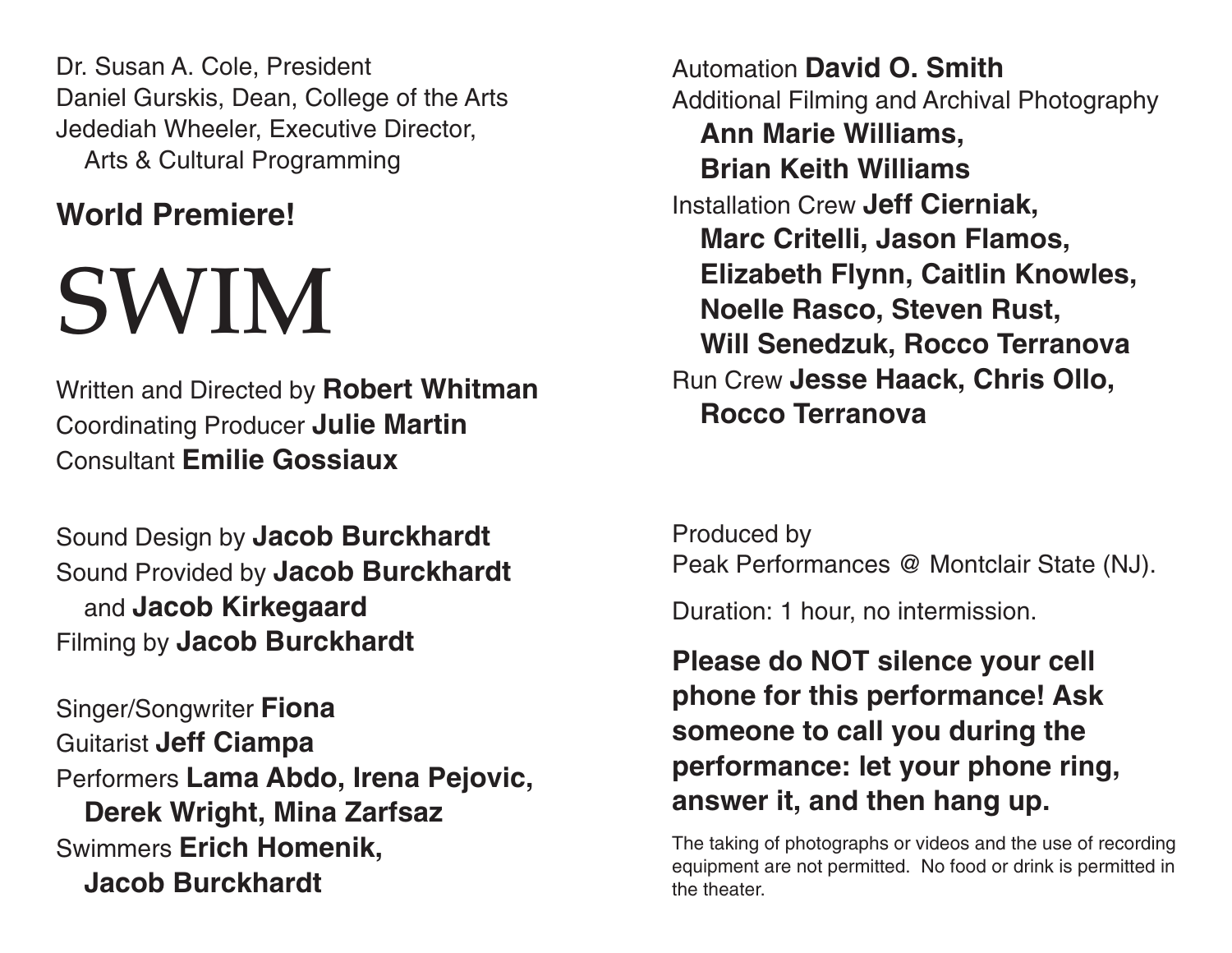Dr. Susan A. Cole, President Daniel Gurskis, Dean, College of the Arts Jedediah Wheeler, Executive Director, Arts & Cultural Programming

### **World Premiere!**

## SWIM

Written and Directed by **Robert Whitman** Coordinating Producer **Julie Martin** Consultant **Emilie Gossiaux**

Sound Design by **Jacob Burckhardt**  Sound Provided by **Jacob Burckhardt**  and **Jacob Kirkegaard** Filming by **Jacob Burckhardt**

Singer/Songwriter **Fiona** Guitarist **Jeff Ciampa** Performers **Lama Abdo, Irena Pejovic, Derek Wright, Mina Zarfsaz** Swimmers **Erich Homenik, Jacob Burckhardt**

Automation **David O. Smith** Additional Filming and Archival Photography **Ann Marie Williams, Brian Keith Williams** Installation Crew **Jeff Cierniak, Marc Critelli, Jason Flamos, Elizabeth Flynn, Caitlin Knowles, Noelle Rasco, Steven Rust, Will Senedzuk, Rocco Terranova** Run Crew **Jesse Haack, Chris Ollo, Rocco Terranova**

Produced by Peak Performances @ Montclair State (NJ).

Duration: 1 hour, no intermission.

**Please do NOT silence your cell phone for this performance! Ask someone to call you during the performance: let your phone ring, answer it, and then hang up.**

The taking of photographs or videos and the use of recording equipment are not permitted. No food or drink is permitted in the theater.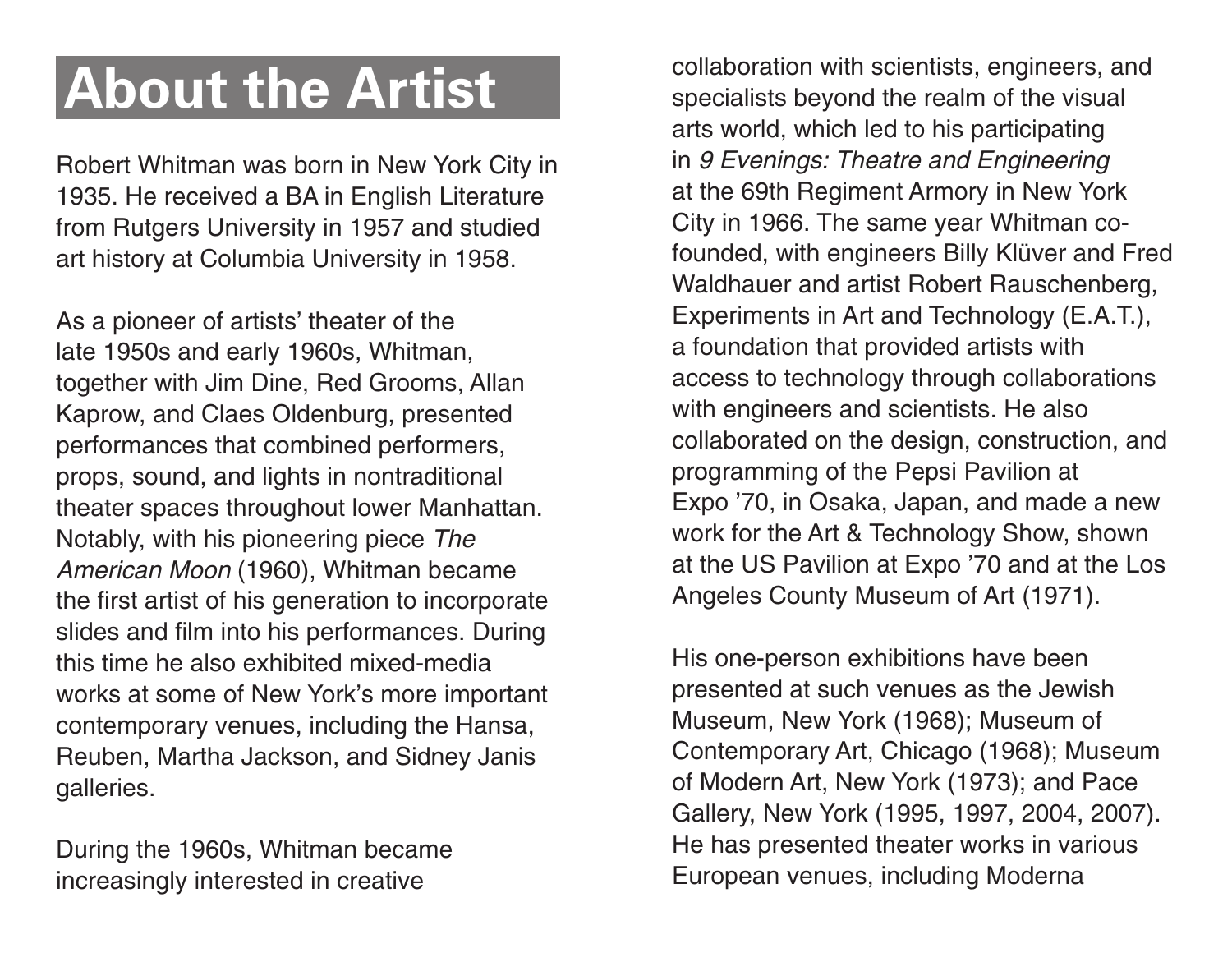Robert Whitman was born in New York City in 1935. He received a BA in English Literature from Rutgers University in 1957 and studied art history at Columbia University in 1958.

As a pioneer of artists' theater of the late 1950s and early 1960s, Whitman, together with Jim Dine, Red Grooms, Allan Kaprow, and Claes Oldenburg, presented performances that combined performers, props, sound, and lights in nontraditional theater spaces throughout lower Manhattan. Notably, with his pioneering piece *The American Moon* (1960), Whitman became the first artist of his generation to incorporate slides and film into his performances. During this time he also exhibited mixed-media works at some of New York's more important contemporary venues, including the Hansa, Reuben, Martha Jackson, and Sidney Janis galleries.

During the 1960s, Whitman became increasingly interested in creative

**About the Artist** collaboration with scientists, engineers, and specialists beyond the realm of the visual specialists beyond the realm of the visual arts world, which led to his participating in *9 Evenings: Theatre and Engineering* at the 69th Regiment Armory in New York City in 1966. The same year Whitman cofounded, with engineers Billy Klüver and Fred Waldhauer and artist Robert Rauschenberg, Experiments in Art and Technology (E.A.T.), a foundation that provided artists with access to technology through collaborations with engineers and scientists. He also collaborated on the design, construction, and programming of the Pepsi Pavilion at Expo '70, in Osaka, Japan, and made a new work for the Art & Technology Show, shown at the US Pavilion at Expo '70 and at the Los Angeles County Museum of Art (1971).

> His one-person exhibitions have been presented at such venues as the Jewish Museum, New York (1968); Museum of Contemporary Art, Chicago (1968); Museum of Modern Art, New York (1973); and Pace Gallery, New York (1995, 1997, 2004, 2007). He has presented theater works in various European venues, including Moderna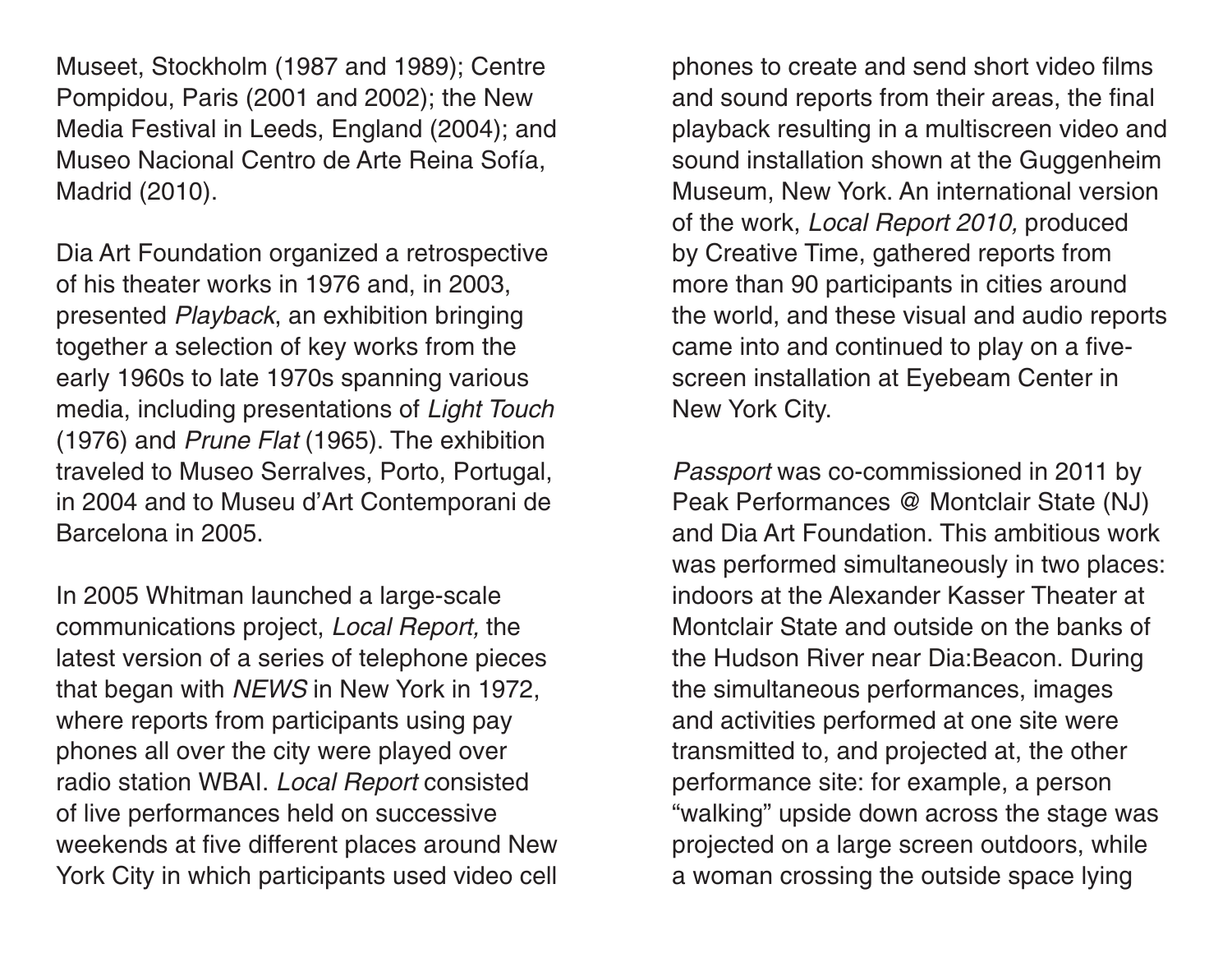Museet, Stockholm (1987 and 1989); Centre Pompidou, Paris (2001 and 2002); the New Media Festival in Leeds, England (2004); and Museo Nacional Centro de Arte Reina Sofía, Madrid (2010).

Dia Art Foundation organized a retrospective of his theater works in 1976 and, in 2003, presented *Playback*, an exhibition bringing together a selection of key works from the early 1960s to late 1970s spanning various media, including presentations of *Light Touch* (1976) and *Prune Flat* (1965). The exhibition traveled to Museo Serralves, Porto, Portugal, in 2004 and to Museu d'Art Contemporani de Barcelona in 2005.

In 2005 Whitman launched a large-scale communications project, *Local Report,* the latest version of a series of telephone pieces that began with *NEWS* in New York in 1972, where reports from participants using pay phones all over the city were played over radio station WBAI. *Local Report* consisted of live performances held on successive weekends at five different places around New York City in which participants used video cell

phones to create and send short video films and sound reports from their areas, the final playback resulting in a multiscreen video and sound installation shown at the Guggenheim Museum, New York. An international version of the work, *Local Report 2010,* produced by Creative Time, gathered reports from more than 90 participants in cities around the world, and these visual and audio reports came into and continued to play on a fivescreen installation at Eyebeam Center in New York City.

*Passport* was co-commissioned in 2011 by Peak Performances @ Montclair State (NJ) and Dia Art Foundation. This ambitious work was performed simultaneously in two places: indoors at the Alexander Kasser Theater at Montclair State and outside on the banks of the Hudson River near Dia:Beacon. During the simultaneous performances, images and activities performed at one site were transmitted to, and projected at, the other performance site: for example, a person "walking" upside down across the stage was projected on a large screen outdoors, while a woman crossing the outside space lying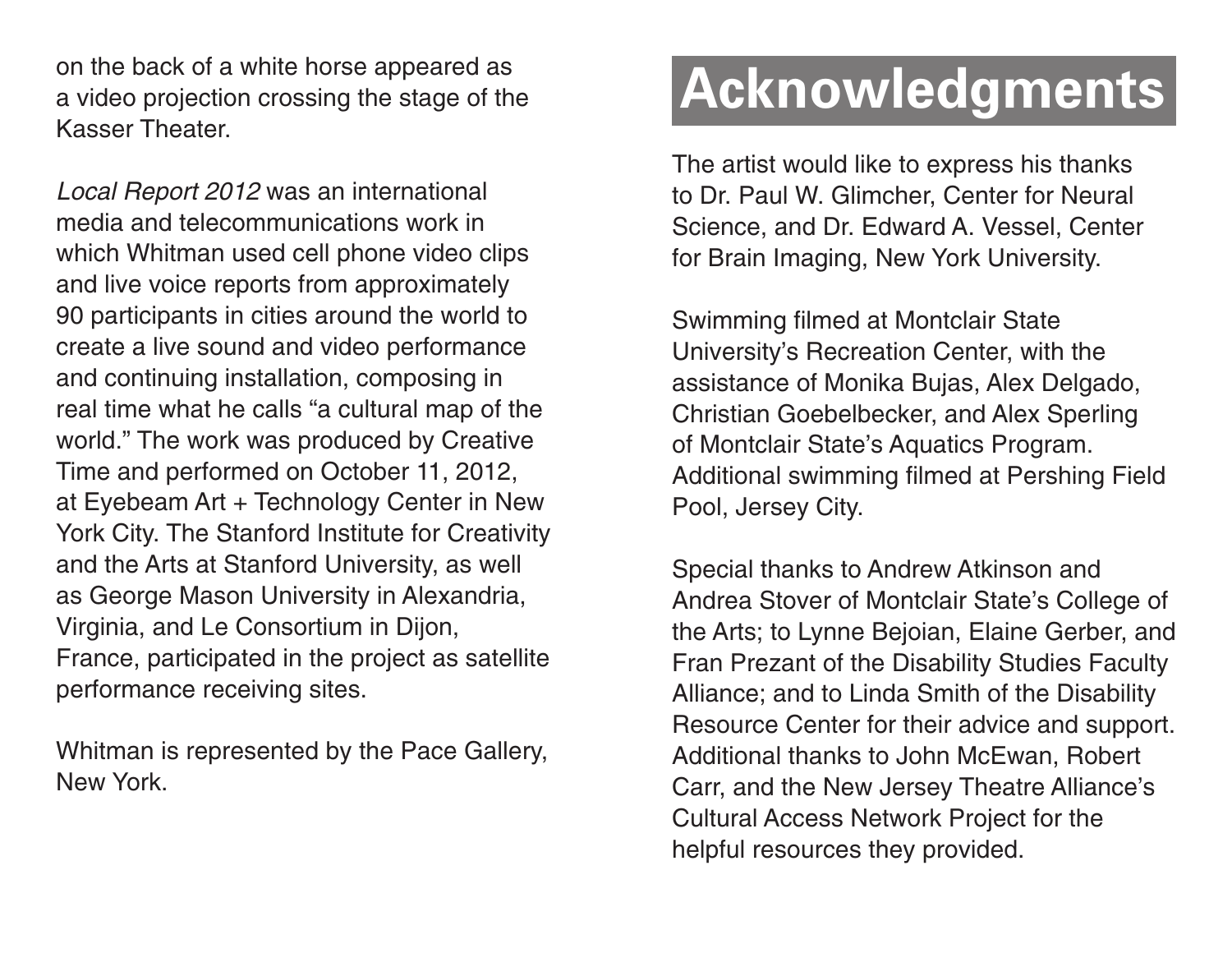on the back of a white horse appeared as a video projection crossing the stage of the Kasser Theater.

*Local Report 2012* was an international media and telecommunications work in which Whitman used cell phone video clips and live voice reports from approximately 90 participants in cities around the world to create a live sound and video performance and continuing installation, composing in real time what he calls "a cultural map of the world." The work was produced by Creative Time and performed on October 11, 2012, at Eyebeam Art + Technology Center in New York City. The Stanford Institute for Creativity and the Arts at Stanford University, as well as George Mason University in Alexandria, Virginia, and Le Consortium in Dijon, France, participated in the project as satellite performance receiving sites.

Whitman is represented by the Pace Gallery, New York.

## **Acknowledgments**

The artist would like to express his thanks to Dr. Paul W. Glimcher, Center for Neural Science, and Dr. Edward A. Vessel, Center for Brain Imaging, New York University.

Swimming filmed at Montclair State University's Recreation Center, with the assistance of Monika Bujas, Alex Delgado, Christian Goebelbecker, and Alex Sperling of Montclair State's Aquatics Program. Additional swimming filmed at Pershing Field Pool, Jersey City.

Special thanks to Andrew Atkinson and Andrea Stover of Montclair State's College of the Arts; to Lynne Bejoian, Elaine Gerber, and Fran Prezant of the Disability Studies Faculty Alliance; and to Linda Smith of the Disability Resource Center for their advice and support. Additional thanks to John McEwan, Robert Carr, and the New Jersey Theatre Alliance's Cultural Access Network Project for the helpful resources they provided.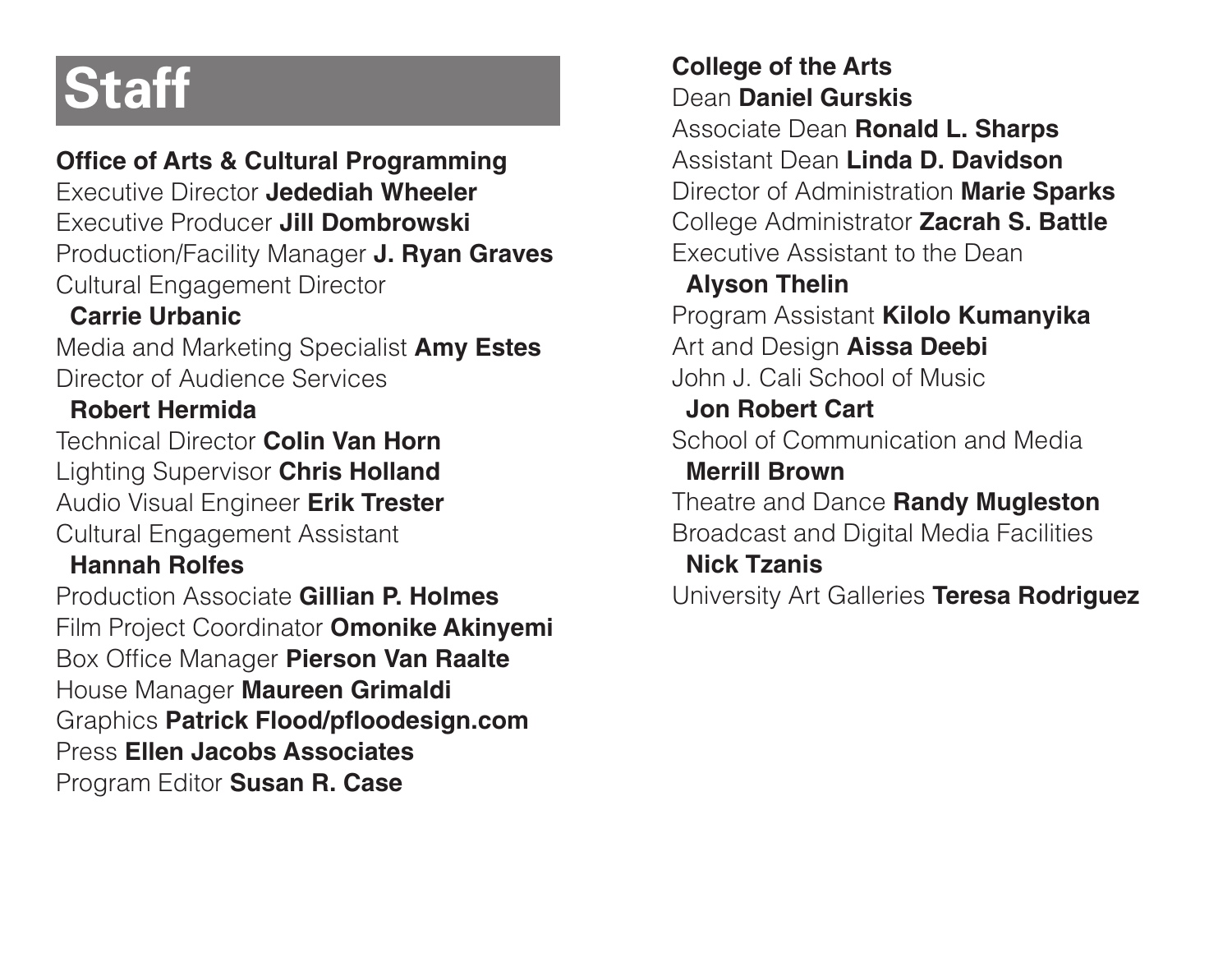**Office of Arts & Cultural Programming** Executive Director **Jedediah Wheeler** Executive Producer **Jill Dombrowski** Production/Facility Manager **J. Ryan Graves** Cultural Engagement Director

#### **Carrie Urbanic**

Media and Marketing Specialist **Amy Estes** Director of Audience Services

#### **Robert Hermida**

Technical Director **Colin Van Horn** Lighting Supervisor **Chris Holland** Audio Visual Engineer **Erik Trester** Cultural Engagement Assistant

#### **Hannah Rolfes**

Production Associate **Gillian P. Holmes**  Film Project Coordinator **Omonike Akinyemi** Box Office Manager **Pierson Van Raalte** House Manager **Maureen Grimaldi** Graphics **Patrick Flood/pfloodesign.com** Press **Ellen Jacobs Associates** Program Editor **Susan R. Case**

### **Staff College of the Arts**<br> **College of the Arts**<br>
Dean Daniel Gursk Dean **Daniel Gurskis**

Associate Dean **Ronald L. Sharps** Assistant Dean **Linda D. Davidson** Director of Administration **Marie Sparks** College Administrator **Zacrah S. Battle** Executive Assistant to the Dean

#### **Alyson Thelin**

Program Assistant **Kilolo Kumanyika** Art and Design **Aissa Deebi** John J. Cali School of Music **Jon Robert Cart** School of Communication and Media

#### **Merrill Brown**

Theatre and Dance **Randy Mugleston** Broadcast and Digital Media Facilities

#### **Nick Tzanis**

University Art Galleries **Teresa Rodriguez**